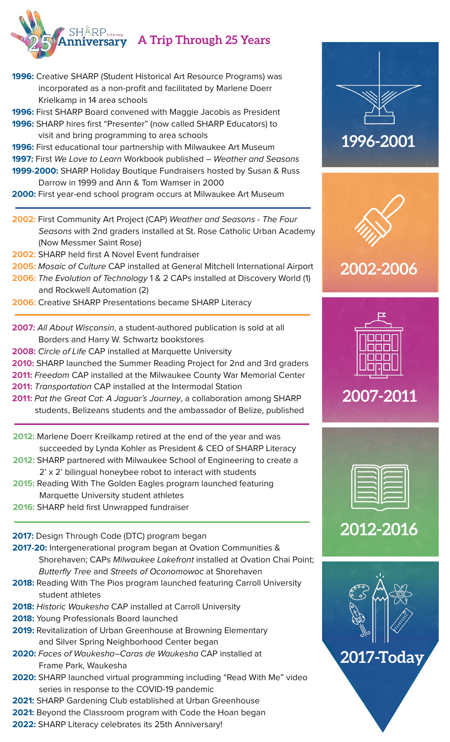

- **1996:** Creative SHARP (Student Historical Art Resource Programs) was incorporated as a non-profit and facilitated by Marlene Doerr Krielkamp in 14 area schools
- **1996:** First SHARP Board convened with Maggie Jacobis as President
- **1996:** SHARP hires first "Presenter" (now called SHARP Educators) to visit and bring programming to area schools
- **1996:** First educational tour partnership with Milwaukee Art Museum **1997:** First We Love to Learn Workbook published – Weather and Seasons **1999-2000:** SHARP Holiday Boutique Fundraisers hosted by Susan & Russ
- Darrow in 1999 and Ann & Tom Wamser in 2000
- **2000:** First year-end school program occurs at Milwaukee Art Museum
- **2002:** First Community Art Project (CAP) Weather and Seasons The Four Seasons with 2nd graders installed at St. Rose Catholic Urban Academy (Now Messmer Saint Rose)
- **2002:** SHARP held first A Novel Event fundraiser
- **2005:** Mosaic of Culture CAP installed at General Mitchell International Airport
- **2006:** The Evolution of Technology 1 & 2 CAPs installed at Discovery World (1) and Rockwell Automation (2)
- **2006:** Creative SHARP Presentations became SHARP Literacy
- **2007:** All About Wisconsin, a student-authored publication is sold at all Borders and Harry W. Schwartz bookstores
- **2008:** Circle of Life CAP installed at Marquette University
- **2010:** SHARP launched the Summer Reading Project for 2nd and 3rd graders **2011:** Freedom CAP installed at the Milwaukee County War Memorial Center
- **2011:** Transportation CAP installed at the Intermodal Station
- 2011: Pat the Great Cat: A Jaguar's Journey, a collaboration among SHARP students, Belizeans students and the ambassador of Belize, published
- **2012:** Marlene Doerr Kreilkamp retired at the end of the year and was succeeded by Lynda Kohler as President & CEO of SHARP Literacy
- **2012:** SHARP partnered with Milwaukee School of Engineering to create a 2' x 2' bilingual honeybee robot to interact with students
- **2015:** Reading With The Golden Eagles program launched featuring Marquette University student athletes
- **2016:** SHARP held first Unwrapped fundraiser

**2017:** Design Through Code (DTC) program began

- **2017-20:** Intergenerational program began at Ovation Communities & Shorehaven; CAPs Milwaukee Lakefront installed at Ovation Chai Point; Butterfly Tree and Streets of Oconomowoc at Shorehaven
- **2018:** Reading With The Pios program launched featuring Carroll University student athletes
- **2018:** Historic Waukesha CAP installed at Carroll University
- **2018:** Young Professionals Board launched
- **2019:** Revitalization of Urban Greenhouse at Browning Elementary and Silver Spring Neighborhood Center began
- **2020:** Faces of Waukesha–Caras de Waukesha CAP installed at Frame Park, Waukesha
- **2020:** SHARP launched virtual programming including "Read With Me" video series in response to the COVID-19 pandemic
- **2021:** SHARP Gardening Club established at Urban Greenhouse
- **2021:** Beyond the Classroom program with Code the Hoan began
- **2022:** SHARP Literacy celebrates its 25th Anniversary!





## **2002-2006**